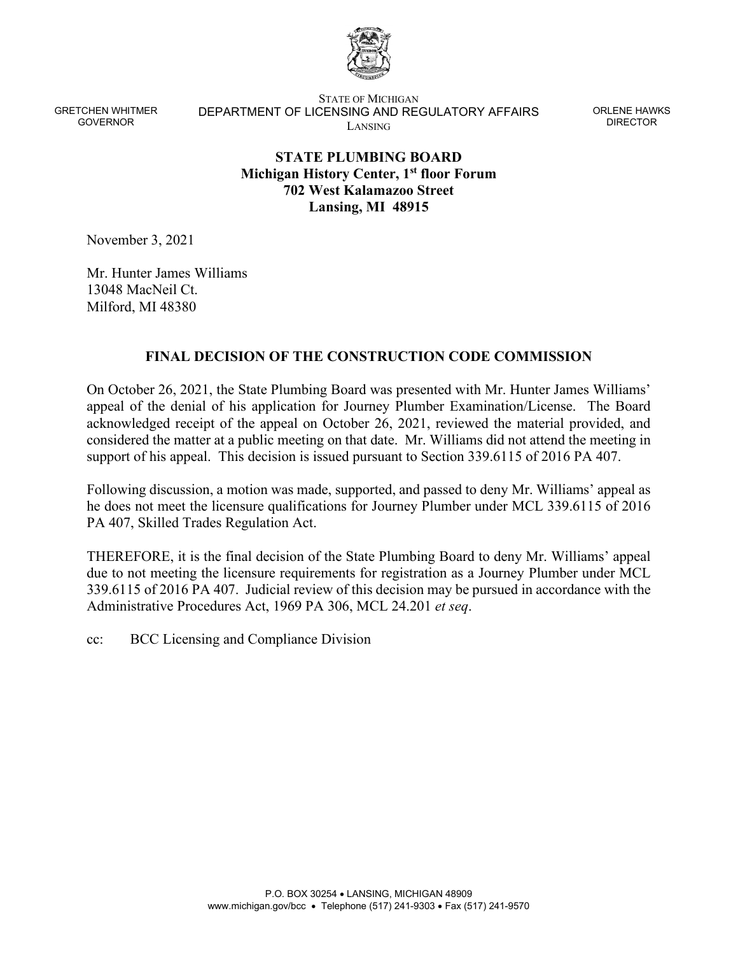

STATE OF MICHIGAN DEPARTMENT OF LICENSING AND REGULATORY AFFAIRS LANSING

ORLENE HAWKS DIRECTOR

# **STATE PLUMBING BOARD Michigan History Center, 1st floor Forum 702 West Kalamazoo Street Lansing, MI 48915**

November 3, 2021

Mr. Hunter James Williams 13048 MacNeil Ct. Milford, MI 48380

#### **FINAL DECISION OF THE CONSTRUCTION CODE COMMISSION**

On October 26, 2021, the State Plumbing Board was presented with Mr. Hunter James Williams' appeal of the denial of his application for Journey Plumber Examination/License. The Board acknowledged receipt of the appeal on October 26, 2021, reviewed the material provided, and considered the matter at a public meeting on that date. Mr. Williams did not attend the meeting in support of his appeal. This decision is issued pursuant to Section 339.6115 of 2016 PA 407.

Following discussion, a motion was made, supported, and passed to deny Mr. Williams' appeal as he does not meet the licensure qualifications for Journey Plumber under MCL 339.6115 of 2016 PA 407, Skilled Trades Regulation Act.

THEREFORE, it is the final decision of the State Plumbing Board to deny Mr. Williams' appeal due to not meeting the licensure requirements for registration as a Journey Plumber under MCL 339.6115 of 2016 PA 407. Judicial review of this decision may be pursued in accordance with the Administrative Procedures Act, 1969 PA 306, MCL 24.201 *et seq*.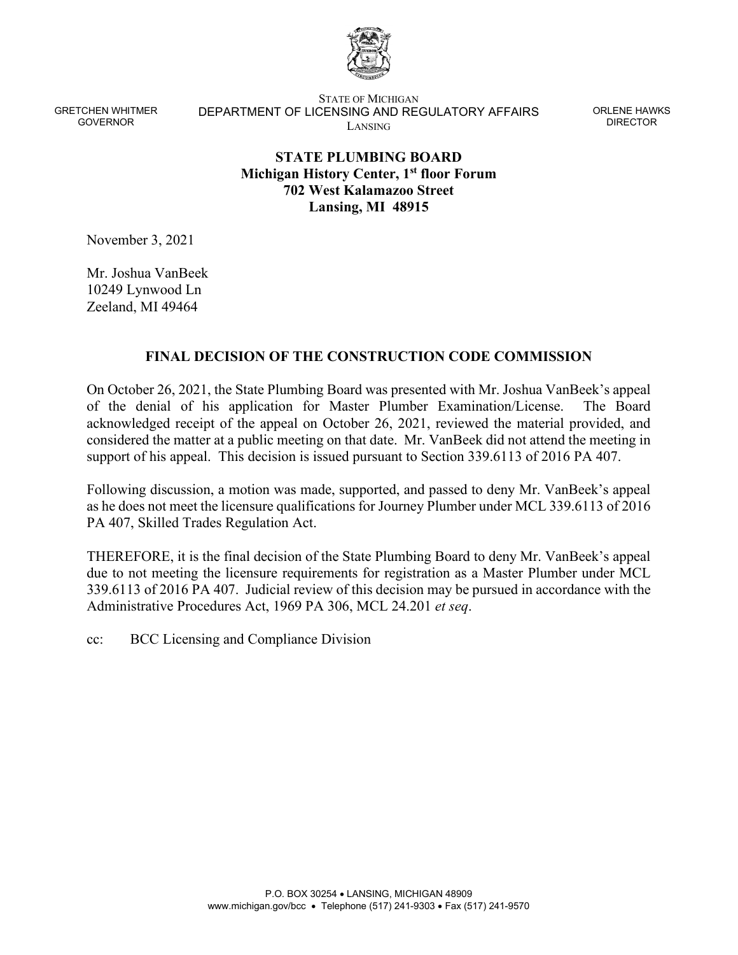

STATE OF MICHIGAN DEPARTMENT OF LICENSING AND REGULATORY AFFAIRS LANSING

ORLENE HAWKS DIRECTOR

# **STATE PLUMBING BOARD Michigan History Center, 1st floor Forum 702 West Kalamazoo Street Lansing, MI 48915**

November 3, 2021

Mr. Joshua VanBeek 10249 Lynwood Ln Zeeland, MI 49464

#### **FINAL DECISION OF THE CONSTRUCTION CODE COMMISSION**

On October 26, 2021, the State Plumbing Board was presented with Mr. Joshua VanBeek's appeal of the denial of his application for Master Plumber Examination/License. The Board acknowledged receipt of the appeal on October 26, 2021, reviewed the material provided, and considered the matter at a public meeting on that date. Mr. VanBeek did not attend the meeting in support of his appeal. This decision is issued pursuant to Section 339.6113 of 2016 PA 407.

Following discussion, a motion was made, supported, and passed to deny Mr. VanBeek's appeal as he does not meet the licensure qualifications for Journey Plumber under MCL 339.6113 of 2016 PA 407, Skilled Trades Regulation Act.

THEREFORE, it is the final decision of the State Plumbing Board to deny Mr. VanBeek's appeal due to not meeting the licensure requirements for registration as a Master Plumber under MCL 339.6113 of 2016 PA 407. Judicial review of this decision may be pursued in accordance with the Administrative Procedures Act, 1969 PA 306, MCL 24.201 *et seq*.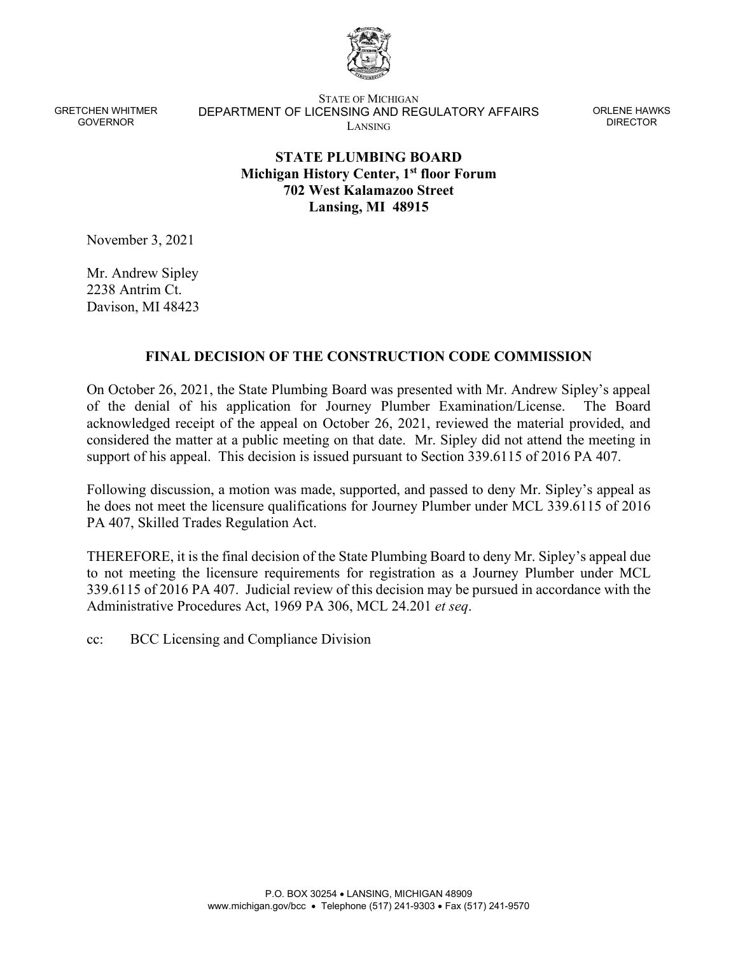

STATE OF MICHIGAN DEPARTMENT OF LICENSING AND REGULATORY AFFAIRS LANSING

ORLENE HAWKS DIRECTOR

# **STATE PLUMBING BOARD Michigan History Center, 1st floor Forum 702 West Kalamazoo Street Lansing, MI 48915**

November 3, 2021

Mr. Andrew Sipley 2238 Antrim Ct. Davison, MI 48423

#### **FINAL DECISION OF THE CONSTRUCTION CODE COMMISSION**

On October 26, 2021, the State Plumbing Board was presented with Mr. Andrew Sipley's appeal of the denial of his application for Journey Plumber Examination/License. The Board acknowledged receipt of the appeal on October 26, 2021, reviewed the material provided, and considered the matter at a public meeting on that date. Mr. Sipley did not attend the meeting in support of his appeal. This decision is issued pursuant to Section 339.6115 of 2016 PA 407.

Following discussion, a motion was made, supported, and passed to deny Mr. Sipley's appeal as he does not meet the licensure qualifications for Journey Plumber under MCL 339.6115 of 2016 PA 407, Skilled Trades Regulation Act.

THEREFORE, it is the final decision of the State Plumbing Board to deny Mr. Sipley's appeal due to not meeting the licensure requirements for registration as a Journey Plumber under MCL 339.6115 of 2016 PA 407. Judicial review of this decision may be pursued in accordance with the Administrative Procedures Act, 1969 PA 306, MCL 24.201 *et seq*.